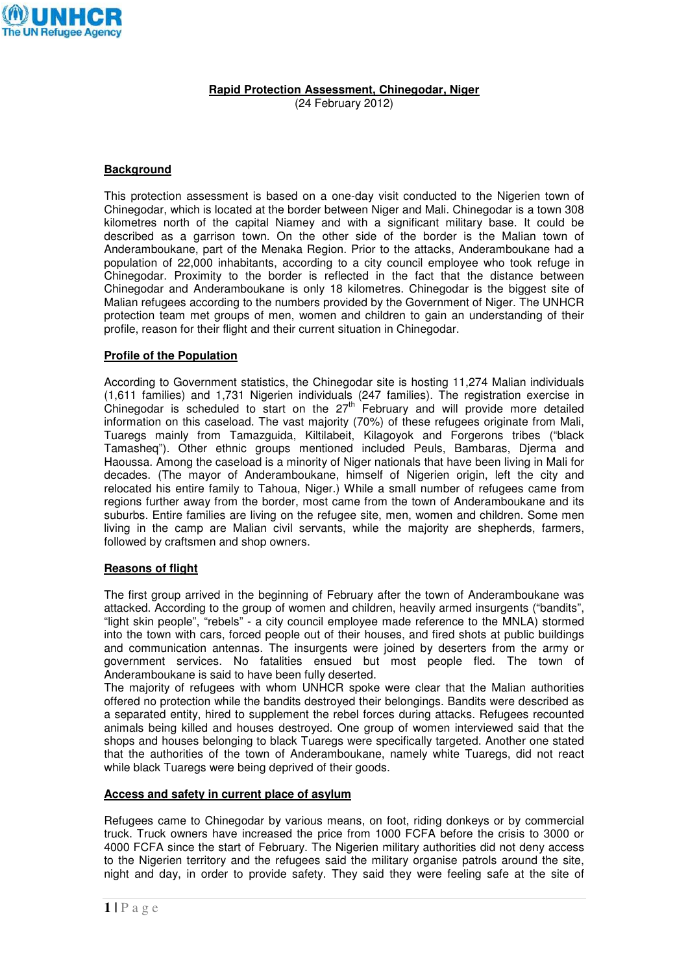

**Rapid Protection Assessment, Chinegodar, Niger**  (24 February 2012)

## **Background**

This protection assessment is based on a one-day visit conducted to the Nigerien town of Chinegodar, which is located at the border between Niger and Mali. Chinegodar is a town 308 kilometres north of the capital Niamey and with a significant military base. It could be described as a garrison town. On the other side of the border is the Malian town of Anderamboukane, part of the Menaka Region. Prior to the attacks, Anderamboukane had a population of 22,000 inhabitants, according to a city council employee who took refuge in Chinegodar. Proximity to the border is reflected in the fact that the distance between Chinegodar and Anderamboukane is only 18 kilometres. Chinegodar is the biggest site of Malian refugees according to the numbers provided by the Government of Niger. The UNHCR protection team met groups of men, women and children to gain an understanding of their profile, reason for their flight and their current situation in Chinegodar.

### **Profile of the Population**

According to Government statistics, the Chinegodar site is hosting 11,274 Malian individuals (1,611 families) and 1,731 Nigerien individuals (247 families). The registration exercise in Chinegodar is scheduled to start on the  $27<sup>th</sup>$  February and will provide more detailed information on this caseload. The vast majority (70%) of these refugees originate from Mali, Tuaregs mainly from Tamazguida, Kiltilabeit, Kilagoyok and Forgerons tribes ("black Tamasheq"). Other ethnic groups mentioned included Peuls, Bambaras, Djerma and Haoussa. Among the caseload is a minority of Niger nationals that have been living in Mali for decades. (The mayor of Anderamboukane, himself of Nigerien origin, left the city and relocated his entire family to Tahoua, Niger.) While a small number of refugees came from regions further away from the border, most came from the town of Anderamboukane and its suburbs. Entire families are living on the refugee site, men, women and children. Some men living in the camp are Malian civil servants, while the majority are shepherds, farmers, followed by craftsmen and shop owners.

#### **Reasons of flight**

The first group arrived in the beginning of February after the town of Anderamboukane was attacked. According to the group of women and children, heavily armed insurgents ("bandits", "light skin people", "rebels" - a city council employee made reference to the MNLA) stormed into the town with cars, forced people out of their houses, and fired shots at public buildings and communication antennas. The insurgents were joined by deserters from the army or government services. No fatalities ensued but most people fled. The town of Anderamboukane is said to have been fully deserted.

The majority of refugees with whom UNHCR spoke were clear that the Malian authorities offered no protection while the bandits destroyed their belongings. Bandits were described as a separated entity, hired to supplement the rebel forces during attacks. Refugees recounted animals being killed and houses destroyed. One group of women interviewed said that the shops and houses belonging to black Tuaregs were specifically targeted. Another one stated that the authorities of the town of Anderamboukane, namely white Tuaregs, did not react while black Tuaregs were being deprived of their goods.

#### **Access and safety in current place of asylum**

Refugees came to Chinegodar by various means, on foot, riding donkeys or by commercial truck. Truck owners have increased the price from 1000 FCFA before the crisis to 3000 or 4000 FCFA since the start of February. The Nigerien military authorities did not deny access to the Nigerien territory and the refugees said the military organise patrols around the site, night and day, in order to provide safety. They said they were feeling safe at the site of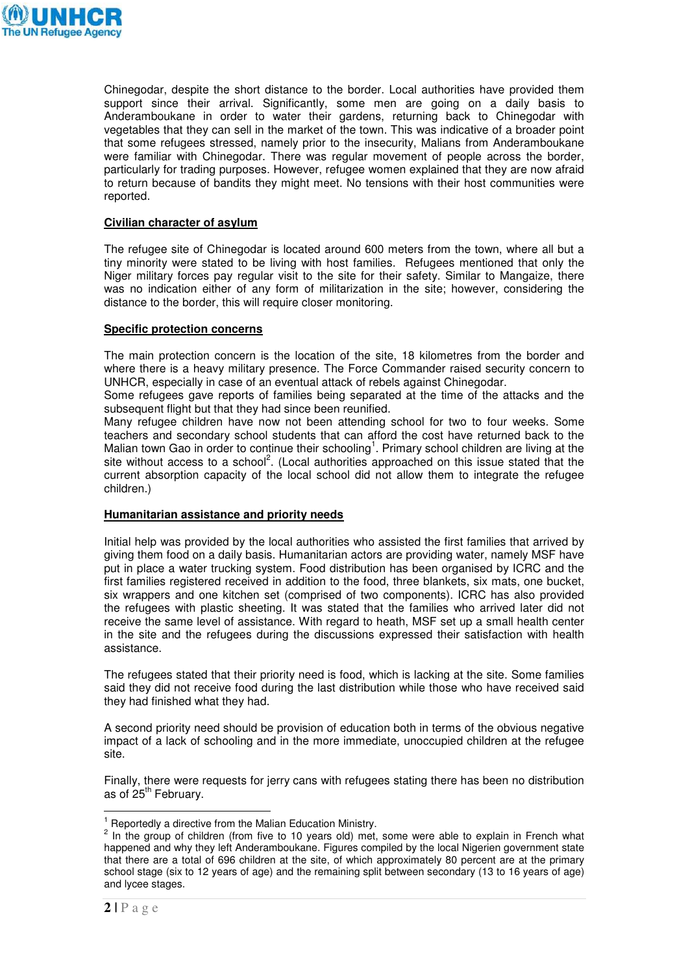

Chinegodar, despite the short distance to the border. Local authorities have provided them support since their arrival. Significantly, some men are going on a daily basis to Anderamboukane in order to water their gardens, returning back to Chinegodar with vegetables that they can sell in the market of the town. This was indicative of a broader point that some refugees stressed, namely prior to the insecurity, Malians from Anderamboukane were familiar with Chinegodar. There was regular movement of people across the border, particularly for trading purposes. However, refugee women explained that they are now afraid to return because of bandits they might meet. No tensions with their host communities were reported.

## **Civilian character of asylum**

The refugee site of Chinegodar is located around 600 meters from the town, where all but a tiny minority were stated to be living with host families. Refugees mentioned that only the Niger military forces pay regular visit to the site for their safety. Similar to Mangaize, there was no indication either of any form of militarization in the site; however, considering the distance to the border, this will require closer monitoring.

### **Specific protection concerns**

The main protection concern is the location of the site, 18 kilometres from the border and where there is a heavy military presence. The Force Commander raised security concern to UNHCR, especially in case of an eventual attack of rebels against Chinegodar.

Some refugees gave reports of families being separated at the time of the attacks and the subsequent flight but that they had since been reunified.

Many refugee children have now not been attending school for two to four weeks. Some teachers and secondary school students that can afford the cost have returned back to the Malian town Gao in order to continue their schooling<sup>1</sup>. Primary school children are living at the site without access to a school<sup>2</sup>. (Local authorities approached on this issue stated that the current absorption capacity of the local school did not allow them to integrate the refugee children.)

# **Humanitarian assistance and priority needs**

Initial help was provided by the local authorities who assisted the first families that arrived by giving them food on a daily basis. Humanitarian actors are providing water, namely MSF have put in place a water trucking system. Food distribution has been organised by ICRC and the first families registered received in addition to the food, three blankets, six mats, one bucket, six wrappers and one kitchen set (comprised of two components). ICRC has also provided the refugees with plastic sheeting. It was stated that the families who arrived later did not receive the same level of assistance. With regard to heath, MSF set up a small health center in the site and the refugees during the discussions expressed their satisfaction with health assistance.

The refugees stated that their priority need is food, which is lacking at the site. Some families said they did not receive food during the last distribution while those who have received said they had finished what they had.

A second priority need should be provision of education both in terms of the obvious negative impact of a lack of schooling and in the more immediate, unoccupied children at the refugee site.

Finally, there were requests for jerry cans with refugees stating there has been no distribution as of 25<sup>th</sup> February.

<sup>1&</sup>lt;br><sup>1</sup> Reportedly a directive from the Malian Education Ministry.

 $2$  In the group of children (from five to 10 years old) met, some were able to explain in French what happened and why they left Anderamboukane. Figures compiled by the local Nigerien government state that there are a total of 696 children at the site, of which approximately 80 percent are at the primary school stage (six to 12 years of age) and the remaining split between secondary (13 to 16 years of age) and lycee stages.